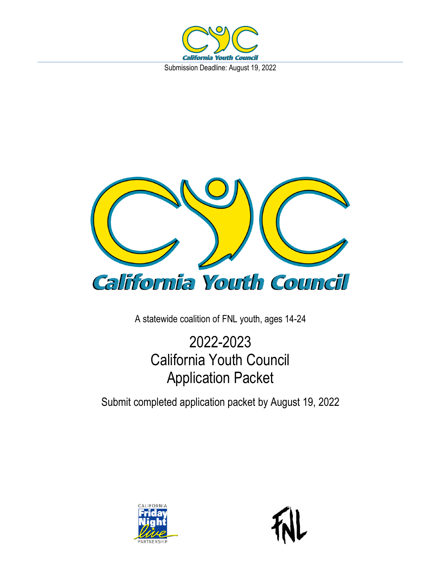



A statewide coalition of FNL youth, ages 14-24

# 2022-2023 California Youth Council Application Packet

Submit completed application packet by August 19, 2022

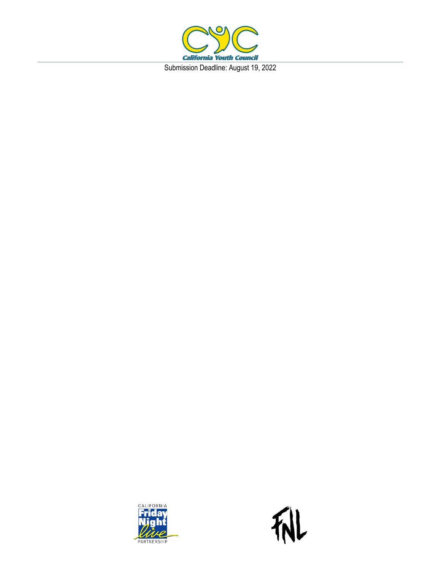



机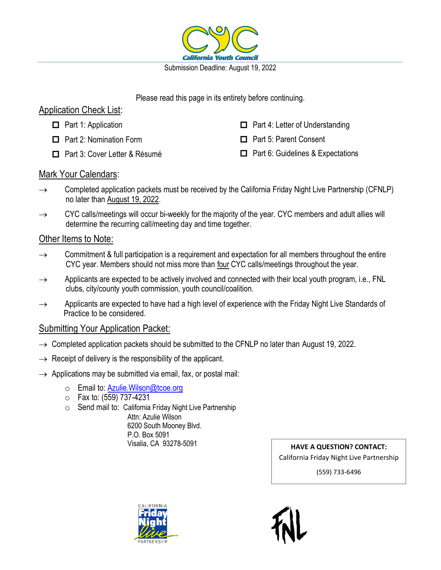

Please read this page in its entirety before continuing.

### Application Check List:

- $\Box$  Part 1: Application
- □ Part 2: Nomination Form
- □ Part 3: Cover Letter & Résumé
- $\Box$  Part 4: Letter of Understanding
- □ Part 5: Parent Consent
- $\Box$  Part 6: Guidelines & Expectations

### Mark Your Calendars:

- $\rightarrow$  Completed application packets must be received by the California Friday Night Live Partnership (CFNLP) no later than August 19, 2022.
- $\rightarrow$  CYC calls/meetings will occur bi-weekly for the majority of the year. CYC members and adult allies will determine the recurring call/meeting day and time together.

#### Other Items to Note:

- $\rightarrow$  Commitment & full participation is a requirement and expectation for all members throughout the entire CYC year. Members should not miss more than four CYC calls/meetings throughout the year.
- $\rightarrow$  Applicants are expected to be actively involved and connected with their local youth program, i.e., FNL clubs, city/county youth commission, youth council/coalition.
- $\rightarrow$  Applicants are expected to have had a high level of experience with the Friday Night Live Standards of Practice to be considered.

### Submitting Your Application Packet:

- $\rightarrow$  Completed application packets should be submitted to the CFNLP no later than August 19, 2022.
- $\rightarrow$  Receipt of delivery is the responsibility of the applicant.
- $\rightarrow$  Applications may be submitted via email, fax, or postal mail:
	- o Email to: Azulie. Wilson@tcoe.org
	- o Fax to: (559) 737-4231
	- o Send mail to: California Friday Night Live Partnership

 Attn: Azulie Wilson 6200 South Mooney Blvd. P.O. Box 5091

Visalia, CA 93278-5091 **HAVE A QUESTION? CONTACT:** California Friday Night Live Partnership

(559) 733-6496

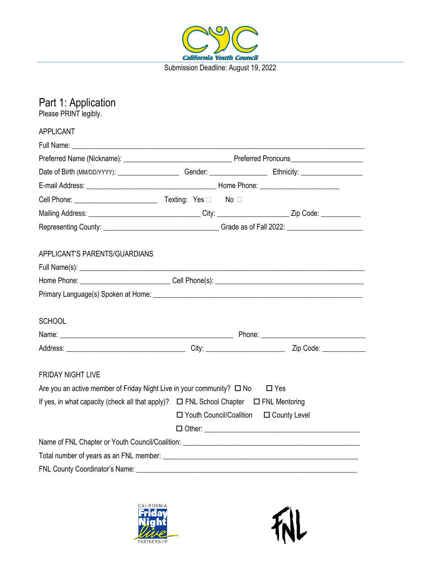

## Part 1: Application Please PRINT legibly. APPLICANT Full Name: \_\_\_\_\_\_\_\_\_\_\_\_\_\_\_\_\_\_\_\_\_\_\_\_\_\_\_\_\_\_\_\_\_\_\_\_\_\_\_\_\_\_\_\_\_\_\_\_\_\_\_\_\_\_\_\_\_\_\_\_\_\_\_\_\_\_\_\_\_\_\_\_\_\_\_\_\_\_\_\_\_ Preferred Name (Nickname): \_\_\_\_\_\_\_\_\_\_\_\_\_\_\_\_\_\_\_\_\_\_\_\_\_\_\_\_\_\_ Preferred Pronouns\_\_\_\_\_\_\_\_\_\_\_\_\_\_\_\_\_\_\_\_ Date of Birth (MM/DD/YYYY): \_\_\_\_\_\_\_\_\_\_\_\_\_\_\_\_\_ Gender: \_\_\_\_\_\_\_\_\_\_\_\_\_\_\_\_ Ethnicity: \_\_\_\_\_\_\_\_\_\_\_\_\_\_\_\_\_ E-mail Address: example and the set of the Home Phone:  $\blacksquare$ Cell Phone: \_\_\_\_\_\_\_\_\_\_\_\_\_\_\_\_\_\_\_\_\_\_\_ Texting: Yes No Mailing Address: \_\_\_\_\_\_\_\_\_\_\_\_\_\_\_\_\_\_\_\_\_\_\_\_\_\_\_\_\_\_\_ City: \_\_\_\_\_\_\_\_\_\_\_\_\_\_\_\_\_\_\_\_ Zip Code: \_\_\_\_\_\_\_\_\_\_\_ Representing County: \_\_\_\_\_\_\_\_\_\_\_\_\_\_\_\_\_\_\_\_\_\_\_\_\_\_\_\_\_\_\_\_ Grade as of Fall 2022: \_\_\_\_\_\_\_\_\_\_\_\_\_\_\_\_\_\_\_\_\_ APPLICANT'S PARENTS/GUARDIANS Full Name(s):  $\blacksquare$ Home Phone: example and the Cell Phone(s):  $\text{Cell}$  Phone(s): Primary Language(s) Spoken at Home:  $\blacksquare$ **SCHOOL** Name: \_\_\_\_\_\_\_\_\_\_\_\_\_\_\_\_\_\_\_\_\_\_\_\_\_\_\_\_\_\_\_\_\_\_\_\_\_\_\_\_\_\_\_\_\_\_\_\_ Phone: \_\_\_\_\_\_\_\_\_\_\_\_\_\_\_\_\_\_\_\_\_\_\_\_\_\_\_\_\_ Address: \_\_\_\_\_\_\_\_\_\_\_\_\_\_\_\_\_\_\_\_\_\_\_\_\_\_\_\_\_\_\_\_\_ City: \_\_\_\_\_\_\_\_\_\_\_\_\_\_\_\_\_\_\_\_\_\_ Zip Code: \_\_\_\_\_\_\_\_\_\_\_\_ FRIDAY NIGHT LIVE Are you an active member of Friday Night Live in your community?  $\Box$  No  $\Box$  Yes If yes, in what capacity (check all that apply)?  $\Box$  FNL School Chapter  $\Box$  FNL Mentoring  $\Box$  Youth Council/Coalition  $\Box$  County Level Other: \_\_\_\_\_\_\_\_\_\_\_\_\_\_\_\_\_\_\_\_\_\_\_\_\_\_\_\_\_\_\_\_\_\_\_\_\_\_\_\_\_\_\_ Name of FNL Chapter or Youth Council/Coalition:  $\blacksquare$ Total number of years as an FNL member: FNL County Coordinator's Name:  $\Box$



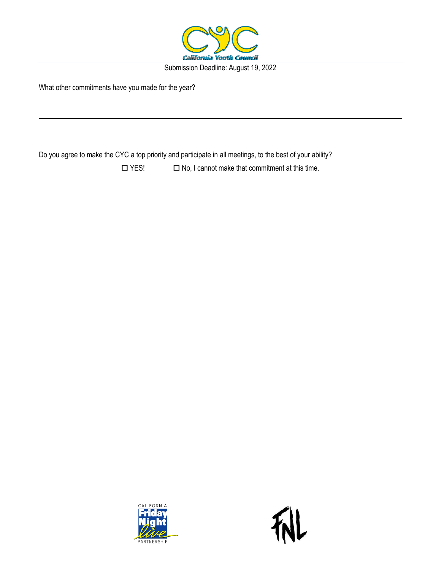

What other commitments have you made for the year?

Do you agree to make the CYC a top priority and participate in all meetings, to the best of your ability?

 $\Box$  YES!  $\Box$  No, I cannot make that commitment at this time.

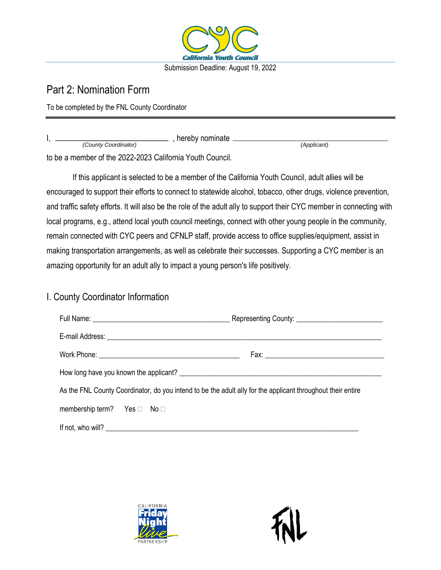

## Part 2: Nomination Form

To be completed by the FNL County Coordinator

| hereby nominate                                         |             |  |
|---------------------------------------------------------|-------------|--|
| (County Coordinator)                                    | (Applicant) |  |
| to be a member of the 0000,0000 Oalifemia Vauth Osumail |             |  |

to be a member of the 2022-2023 California Youth Council.

If this applicant is selected to be a member of the California Youth Council, adult allies will be encouraged to support their efforts to connect to statewide alcohol, tobacco, other drugs, violence prevention, and traffic safety efforts. It will also be the role of the adult ally to support their CYC member in connecting with local programs, e.g., attend local youth council meetings, connect with other young people in the community, remain connected with CYC peers and CFNLP staff, provide access to office supplies/equipment, assist in making transportation arrangements, as well as celebrate their successes. Supporting a CYC member is an amazing opportunity for an adult ally to impact a young person's life positively.

### I. County Coordinator Information

| As the FNL County Coordinator, do you intend to be the adult ally for the applicant throughout their entire |  |  |  |  |
|-------------------------------------------------------------------------------------------------------------|--|--|--|--|
| membership term? Yes $\Box$ No $\Box$                                                                       |  |  |  |  |
|                                                                                                             |  |  |  |  |

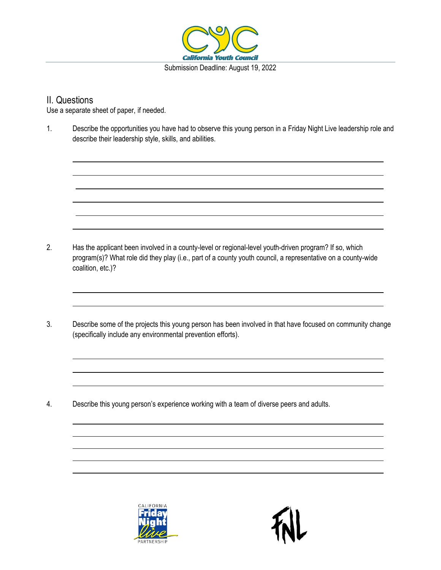

#### II. Questions

Use a separate sheet of paper, if needed.

1. Describe the opportunities you have had to observe this young person in a Friday Night Live leadership role and describe their leadership style, skills, and abilities.

2. Has the applicant been involved in a county-level or regional-level youth-driven program? If so, which program(s)? What role did they play (i.e., part of a county youth council, a representative on a county-wide coalition, etc.)?

3. Describe some of the projects this young person has been involved in that have focused on community change (specifically include any environmental prevention efforts).

4. Describe this young person's experience working with a team of diverse peers and adults.

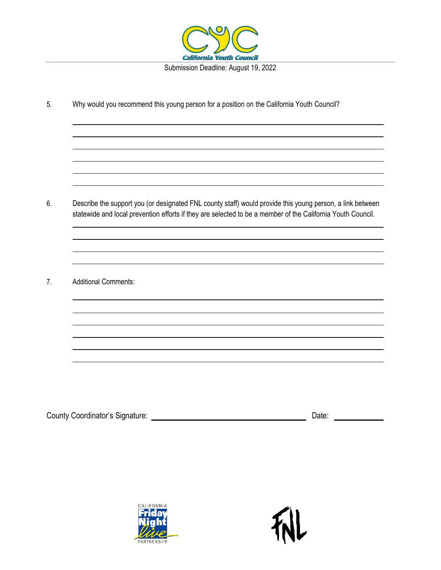

5. Why would you recommend this young person for a position on the California Youth Council?

6. Describe the support you (or designated FNL county staff) would provide this young person, a link between statewide and local prevention efforts if they are selected to be a member of the California Youth Council.

the control of the control of the control of the control of the control of the control of the control of the control of the control of the control of the control of the control of the control of the control of the control

7. Additional Comments:

County Coordinator's Signature: Date:

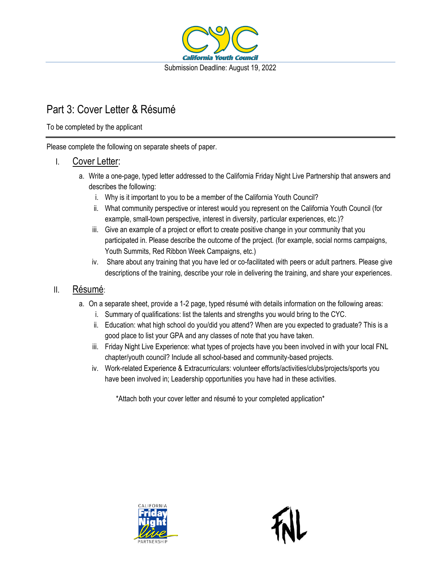

## Part 3: Cover Letter & Résumé

To be completed by the applicant

Please complete the following on separate sheets of paper.

#### I. Cover Letter:

- a. Write a one-page, typed letter addressed to the California Friday Night Live Partnership that answers and describes the following:
	- i. Why is it important to you to be a member of the California Youth Council?
	- ii. What community perspective or interest would you represent on the California Youth Council (for example, small-town perspective, interest in diversity, particular experiences, etc.)?
	- iii. Give an example of a project or effort to create positive change in your community that you participated in. Please describe the outcome of the project. (for example, social norms campaigns, Youth Summits, Red Ribbon Week Campaigns, etc.)
	- iv. Share about any training that you have led or co-facilitated with peers or adult partners. Please give descriptions of the training, describe your role in delivering the training, and share your experiences.

#### II. Résumé:

- a. On a separate sheet, provide a 1-2 page, typed résumé with details information on the following areas:
	- i. Summary of qualifications: list the talents and strengths you would bring to the CYC.
	- ii. Education: what high school do you/did you attend? When are you expected to graduate? This is a good place to list your GPA and any classes of note that you have taken.
	- iii. Friday Night Live Experience: what types of projects have you been involved in with your local FNL chapter/youth council? Include all school-based and community-based projects.
	- iv. Work-related Experience & Extracurriculars: volunteer efforts/activities/clubs/projects/sports you have been involved in; Leadership opportunities you have had in these activities.

\*Attach both your cover letter and résumé to your completed application\*

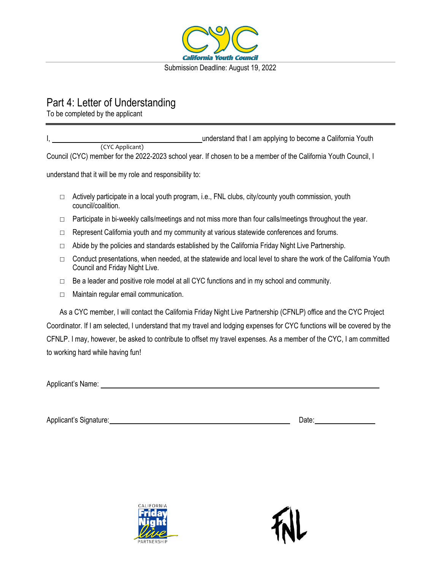

## Part 4: Letter of Understanding

To be completed by the applicant

I, understand that I am applying to become a California Youth Council (CYC) member for the 2022-2023 school year. If chosen to be a member of the California Youth Council, I (CYC Applicant)

understand that it will be my role and responsibility to:

- $\Box$  Actively participate in a local youth program, i.e., FNL clubs, city/county youth commission, youth council/coalition.
- $\Box$  Participate in bi-weekly calls/meetings and not miss more than four calls/meetings throughout the year.
- $\Box$  Represent California youth and my community at various statewide conferences and forums.
- $\Box$  Abide by the policies and standards established by the California Friday Night Live Partnership.
- $\Box$  Conduct presentations, when needed, at the statewide and local level to share the work of the California Youth Council and Friday Night Live.
- $\Box$  Be a leader and positive role model at all CYC functions and in my school and community.
- $\Box$  Maintain regular email communication.

As a CYC member, I will contact the California Friday Night Live Partnership (CFNLP) office and the CYC Project Coordinator. If I am selected, I understand that my travel and lodging expenses for CYC functions will be covered by the CFNLP. I may, however, be asked to contribute to offset my travel expenses. As a member of the CYC, I am committed to working hard while having fun!

Applicant's Signature: **Date:** Date: Date: Date: Date: Date: Date: Date: Date: Date: Date: Date: Date: Date: Date: Date: Date: Date: Date: Date: Date: Date: Date: Date: Date: Date: Date: Date: Date: Date: Date: Date: Date:



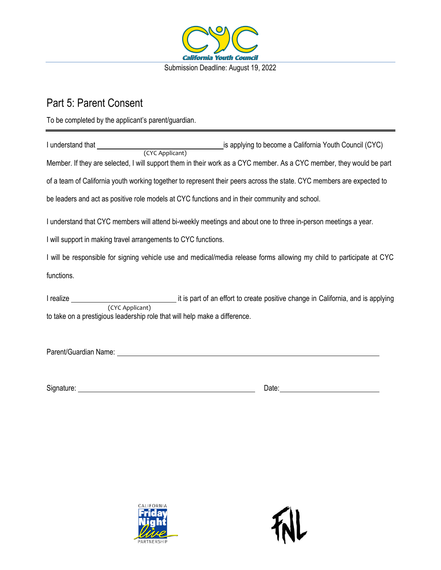

## Part 5: Parent Consent

To be completed by the applicant's parent/guardian.

| I understand that                                                                                                     | is applying to become a California Youth Council (CYC)                                                                |
|-----------------------------------------------------------------------------------------------------------------------|-----------------------------------------------------------------------------------------------------------------------|
| (CYC Applicant)                                                                                                       |                                                                                                                       |
|                                                                                                                       | Member. If they are selected, I will support them in their work as a CYC member. As a CYC member, they would be part  |
| of a team of California youth working together to represent their peers across the state. CYC members are expected to |                                                                                                                       |
| be leaders and act as positive role models at CYC functions and in their community and school.                        |                                                                                                                       |
| I understand that CYC members will attend bi-weekly meetings and about one to three in-person meetings a year.        |                                                                                                                       |
| I will support in making travel arrangements to CYC functions.                                                        |                                                                                                                       |
|                                                                                                                       | I will be responsible for signing vehicle use and medical/media release forms allowing my child to participate at CYC |
| functions.                                                                                                            |                                                                                                                       |

I realize it is part of an effort to create positive change in California, and is applying to take on a prestigious leadership role that will help make a difference. (CYC Applicant)

Parent/Guardian Name:

Signature: Date:



![](_page_10_Picture_9.jpeg)